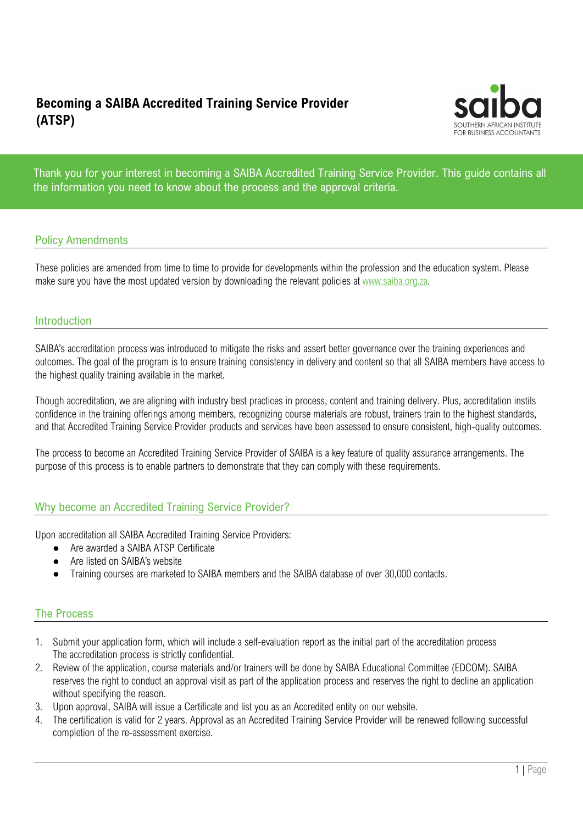# Becoming a SAIBA Accredited Training Service Provider (ATSP)



Thank you for your interest in becoming a SAIBA Accredited Training Service Provider. This guide contains all the information you need to know about the process and the approval criteria.

### Policy Amendments

These policies are amended from time to time to provide for developments within the profession and the education system. Please make sure you have the most updated version by downloading the relevant policies at www.saiba.org.za.

#### Introduction

SAIBA's accreditation process was introduced to mitigate the risks and assert better governance over the training experiences and outcomes. The goal of the program is to ensure training consistency in delivery and content so that all SAIBA members have access to the highest quality training available in the market.

Though accreditation, we are aligning with industry best practices in process, content and training delivery. Plus, accreditation instils confidence in the training offerings among members, recognizing course materials are robust, trainers train to the highest standards, and that Accredited Training Service Provider products and services have been assessed to ensure consistent, high-quality outcomes.

The process to become an Accredited Training Service Provider of SAIBA is a key feature of quality assurance arrangements. The purpose of this process is to enable partners to demonstrate that they can comply with these requirements.

#### Why become an Accredited Training Service Provider?

Upon accreditation all SAIBA Accredited Training Service Providers:

- Are awarded a SAIBA ATSP Certificate
- Are listed on SAIBA's website
- Training courses are marketed to SAIBA members and the SAIBA database of over 30,000 contacts.

#### The Process

- 1. Submit your application form, which will include a self-evaluation report as the initial part of the accreditation process The accreditation process is strictly confidential.
- 2. Review of the application, course materials and/or trainers will be done by SAIBA Educational Committee (EDCOM). SAIBA reserves the right to conduct an approval visit as part of the application process and reserves the right to decline an application without specifying the reason.
- 3. Upon approval, SAIBA will issue a Certificate and list you as an Accredited entity on our website.
- 4. The certification is valid for 2 years. Approval as an Accredited Training Service Provider will be renewed following successful completion of the re-assessment exercise.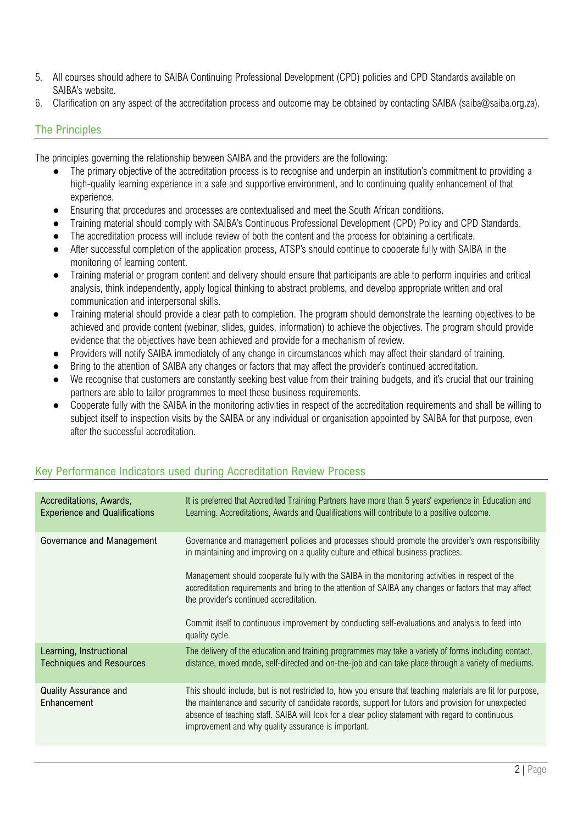- 5. All courses should adhere to SAIBA Continuing Professional Development (CPD) policies and CPD Standards available on SAIBA's website.
- 6. Clarification on any aspect of the accreditation process and outcome may be obtained by contacting SAIBA (saiba@saiba.org.za).

## The Principles

The principles governing the relationship between SAIBA and the providers are the following:

- The primary objective of the accreditation process is to recognise and underpin an institution's commitment to providing a high-quality learning experience in a safe and supportive environment, and to continuing quality enhancement of that experience.
- Ensuring that procedures and processes are contextualised and meet the South African conditions.
- Training material should comply with SAIBA's Continuous Professional Development (CPD) Policy and CPD Standards.
- The accreditation process will include review of both the content and the process for obtaining a certificate.
- After successful completion of the application process, ATSP's should continue to cooperate fully with SAIBA in the monitoring of learning content.
- Training material or program content and delivery should ensure that participants are able to perform inquiries and critical analysis, think independently, apply logical thinking to abstract problems, and develop appropriate written and oral communication and interpersonal skills.
- Training material should provide a clear path to completion. The program should demonstrate the learning objectives to be achieved and provide content (webinar, slides, guides, information) to achieve the objectives. The program should provide evidence that the objectives have been achieved and provide for a mechanism of review.
- Providers will notify SAIBA immediately of any change in circumstances which may affect their standard of training.
- Bring to the attention of SAIBA any changes or factors that may affect the provider's continued accreditation.
- We recognise that customers are constantly seeking best value from their training budgets, and it's crucial that our training partners are able to tailor programmes to meet these business requirements.
- Cooperate fully with the SAIBA in the monitoring activities in respect of the accreditation requirements and shall be willing to subject itself to inspection visits by the SAIBA or any individual or organisation appointed by SAIBA for that purpose, even after the successful accreditation.

| Accreditations, Awards,<br><b>Experience and Qualifications</b> | It is preferred that Accredited Training Partners have more than 5 years' experience in Education and<br>Learning. Accreditations, Awards and Qualifications will contribute to a positive outcome.                                                                                                                                                                                                                                           |
|-----------------------------------------------------------------|-----------------------------------------------------------------------------------------------------------------------------------------------------------------------------------------------------------------------------------------------------------------------------------------------------------------------------------------------------------------------------------------------------------------------------------------------|
| Governance and Management                                       | Governance and management policies and processes should promote the provider's own responsibility<br>in maintaining and improving on a quality culture and ethical business practices.<br>Management should cooperate fully with the SAIBA in the monitoring activities in respect of the<br>accreditation requirements and bring to the attention of SAIBA any changes or factors that may affect<br>the provider's continued accreditation. |
|                                                                 | Commit itself to continuous improvement by conducting self-evaluations and analysis to feed into<br>quality cycle.                                                                                                                                                                                                                                                                                                                            |
| Learning, Instructional<br><b>Techniques and Resources</b>      | The delivery of the education and training programmes may take a variety of forms including contact,<br>distance, mixed mode, self-directed and on-the-job and can take place through a variety of mediums.                                                                                                                                                                                                                                   |
| <b>Quality Assurance and</b><br>Enhancement                     | This should include, but is not restricted to, how you ensure that teaching materials are fit for purpose,<br>the maintenance and security of candidate records, support for tutors and provision for unexpected<br>absence of teaching staff. SAIBA will look for a clear policy statement with regard to continuous<br>improvement and why quality assurance is important.                                                                  |

### Key Performance Indicators used during Accreditation Review Process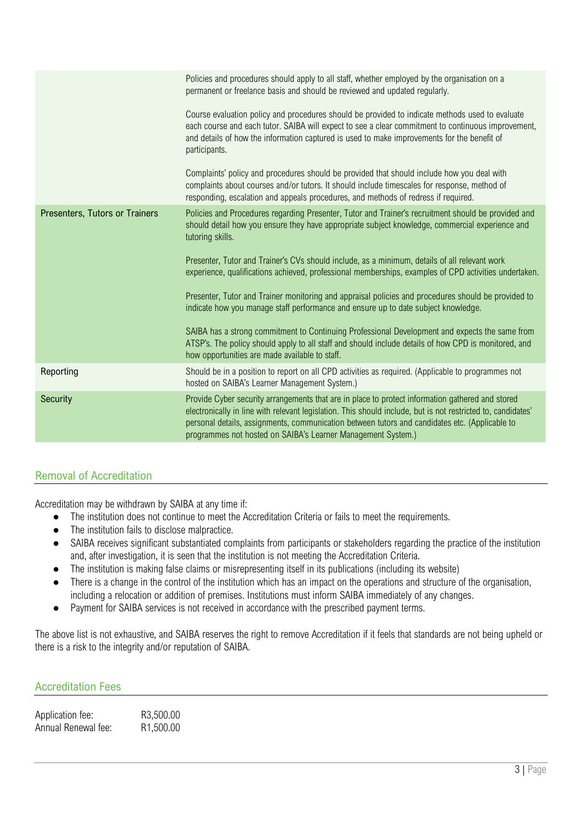|                                | Policies and procedures should apply to all staff, whether employed by the organisation on a<br>permanent or freelance basis and should be reviewed and updated regularly.                                                                                                                                                                                                         |
|--------------------------------|------------------------------------------------------------------------------------------------------------------------------------------------------------------------------------------------------------------------------------------------------------------------------------------------------------------------------------------------------------------------------------|
|                                | Course evaluation policy and procedures should be provided to indicate methods used to evaluate<br>each course and each tutor. SAIBA will expect to see a clear commitment to continuous improvement,<br>and details of how the information captured is used to make improvements for the benefit of<br>participants.                                                              |
|                                | Complaints' policy and procedures should be provided that should include how you deal with<br>complaints about courses and/or tutors. It should include timescales for response, method of<br>responding, escalation and appeals procedures, and methods of redress if required.                                                                                                   |
| Presenters, Tutors or Trainers | Policies and Procedures regarding Presenter, Tutor and Trainer's recruitment should be provided and<br>should detail how you ensure they have appropriate subject knowledge, commercial experience and<br>tutoring skills.                                                                                                                                                         |
|                                | Presenter, Tutor and Trainer's CVs should include, as a minimum, details of all relevant work<br>experience, qualifications achieved, professional memberships, examples of CPD activities undertaken.                                                                                                                                                                             |
|                                | Presenter, Tutor and Trainer monitoring and appraisal policies and procedures should be provided to<br>indicate how you manage staff performance and ensure up to date subject knowledge.                                                                                                                                                                                          |
|                                | SAIBA has a strong commitment to Continuing Professional Development and expects the same from<br>ATSP's. The policy should apply to all staff and should include details of how CPD is monitored, and<br>how opportunities are made available to staff.                                                                                                                           |
| Reporting                      | Should be in a position to report on all CPD activities as required. (Applicable to programmes not<br>hosted on SAIBA's Learner Management System.)                                                                                                                                                                                                                                |
| <b>Security</b>                | Provide Cyber security arrangements that are in place to protect information gathered and stored<br>electronically in line with relevant legislation. This should include, but is not restricted to, candidates'<br>personal details, assignments, communication between tutors and candidates etc. (Applicable to<br>programmes not hosted on SAIBA's Learner Management System.) |
|                                |                                                                                                                                                                                                                                                                                                                                                                                    |

# Removal of Accreditation

Accreditation may be withdrawn by SAIBA at any time if:

- The institution does not continue to meet the Accreditation Criteria or fails to meet the requirements.
- The institution fails to disclose malpractice.
- SAIBA receives significant substantiated complaints from participants or stakeholders regarding the practice of the institution and, after investigation, it is seen that the institution is not meeting the Accreditation Criteria.
- The institution is making false claims or misrepresenting itself in its publications (including its website)
- There is a change in the control of the institution which has an impact on the operations and structure of the organisation, including a relocation or addition of premises. Institutions must inform SAIBA immediately of any changes.
- Payment for SAIBA services is not received in accordance with the prescribed payment terms.

The above list is not exhaustive, and SAIBA reserves the right to remove Accreditation if it feels that standards are not being upheld or there is a risk to the integrity and/or reputation of SAIBA.

### Accreditation Fees

| Application fee:    | R3,500.00              |
|---------------------|------------------------|
| Annual Renewal fee: | R <sub>1</sub> ,500.00 |